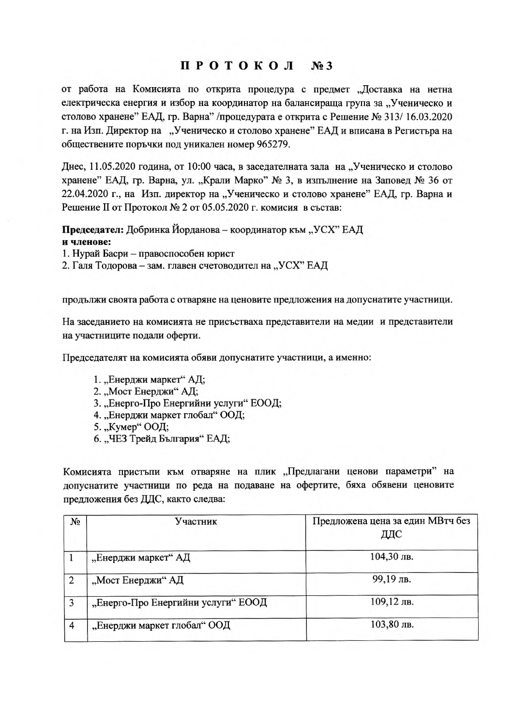## $\Pi$  P O T O K O  $\overline{J}$  No 3

от работа на Комисията по открита процедура с предмет "Доставка на нетна електрическа енергия и избор на координатор на балансираща група за "Ученическо и столово хранене" ЕАД, гр. Варна" /процедурата е открита с Решение № 313/ 16.03.2020 г. на Изп. Директор на "Ученическо и столово хранене" ЕАД и вписана в Регистъра на обществените поръчки под уникален номер 965279.

Днес, 11.05.2020 година, от 10:00 часа, в заседателната зала на "Ученическо и столово хранене" ЕАД, гр. Варна, ул. "Крали Марко" № 3, в изпълнение на Заповед № 36 от 22.04.2020 г., на Изп. директор на "Ученическо и столово хранене" ЕАД, гр. Варна и Решение II от Протокол № 2 от 05.05.2020 г. комисия в състав:

Председател: Добринка Йорданова - координатор към "УСХ" ЕАД и членове:

1. Нурай Басри - правоспособен юрист

2. Галя Тодорова - зам. главен счетоводител на "УСХ" ЕАД

продължи своята работа с отваряне на ценовите предложения на допуснатите участници.

На заседанието на комисията не присъстваха представители на медии и представители на участниците подали оферти.

Председателят на комисията обяви допуснатите участници, а именно:

- 1. "Енерджи маркет" АД;
- 2. "Мост Енерджи" АД;
- 3. "Енерго-Про Енергийни услуги" ЕООД;
- 4. "Енерджи маркет глобал" ООД;
- 5. "Кумер" ООД;
- 6. "ЧЕЗ Трейд България" ЕАД;

Комисията пристъпи към отваряне на плик "Предлагани ценови параметри" на допуснатите участници по реда на подаване на офертите, бяха обявени ценовите предложения без ДДС, както следва:

| $N_2$          | Участник                           | Предложена цена за един МВтч без<br>ДДС |  |  |  |  |
|----------------|------------------------------------|-----------------------------------------|--|--|--|--|
|                | "Енерджи маркет" АД                | $104,30$ лв.                            |  |  |  |  |
| 2              | "Мост Енерджи" АД                  | 99,19 лв.                               |  |  |  |  |
| 3              | "Енерго-Про Енергийни услуги" ЕООД | 109,12 лв.                              |  |  |  |  |
| $\overline{4}$ | "Енерджи маркет глобал" ООД        | 103,80 лв.                              |  |  |  |  |